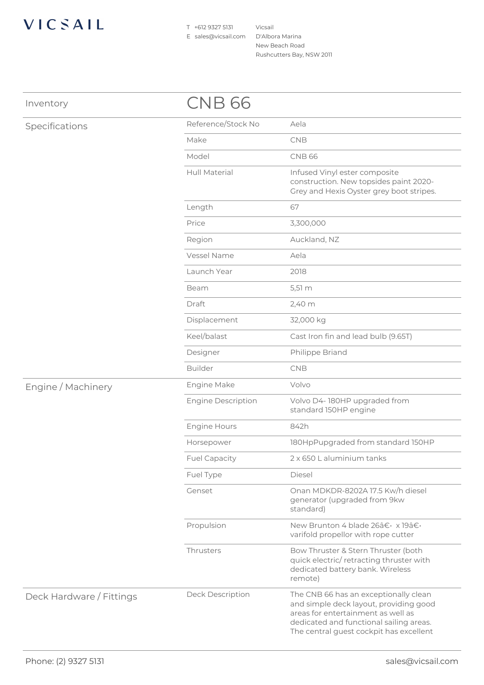## VICSAIL

T +612 9327 5131 E sales@vicsail.com

Vicsail D'Albora Marina New Beach Road Rushcutters Bay, NSW 2011

| Inventory                | CNB 66                    |                                                                                                                                                                                                             |
|--------------------------|---------------------------|-------------------------------------------------------------------------------------------------------------------------------------------------------------------------------------------------------------|
| Specifications           | Reference/Stock No        | Aela                                                                                                                                                                                                        |
|                          | Make                      | CNB                                                                                                                                                                                                         |
|                          | Model                     | <b>CNB 66</b>                                                                                                                                                                                               |
|                          | Hull Material             | Infused Vinyl ester composite<br>construction. New topsides paint 2020-<br>Grey and Hexis Oyster grey boot stripes.                                                                                         |
|                          | Length                    | 67                                                                                                                                                                                                          |
|                          | Price                     | 3,300,000                                                                                                                                                                                                   |
|                          | Region                    | Auckland, NZ                                                                                                                                                                                                |
|                          | Vessel Name               | Aela                                                                                                                                                                                                        |
|                          | Launch Year               | 2018                                                                                                                                                                                                        |
|                          | Beam                      | 5,51 m                                                                                                                                                                                                      |
|                          | Draft                     | 2,40 m                                                                                                                                                                                                      |
|                          | Displacement              | 32,000 kg                                                                                                                                                                                                   |
|                          | Keel/balast               | Cast Iron fin and lead bulb (9.65T)                                                                                                                                                                         |
|                          | Designer                  | Philippe Briand                                                                                                                                                                                             |
|                          | <b>Builder</b>            | <b>CNB</b>                                                                                                                                                                                                  |
| Engine / Machinery       | Engine Make               | Volvo                                                                                                                                                                                                       |
|                          | <b>Engine Description</b> | Volvo D4-180HP upgraded from<br>standard 150HP engine                                                                                                                                                       |
|                          | Engine Hours              | 842h                                                                                                                                                                                                        |
|                          | Horsepower                | 180HpPupgraded from standard 150HP                                                                                                                                                                          |
|                          | <b>Fuel Capacity</b>      | 2 x 650 L aluminium tanks                                                                                                                                                                                   |
|                          | Fuel Type                 | Diesel                                                                                                                                                                                                      |
|                          | Genset                    | Onan MDKDR-8202A 17.5 Kw/h diesel<br>generator (upgraded from 9kw<br>standard)                                                                                                                              |
|                          | Propulsion                | New Brunton 4 blade 26‷ x 19‷<br>varifold propellor with rope cutter                                                                                                                                        |
|                          | Thrusters                 | Bow Thruster & Stern Thruster (both<br>quick electric/retracting thruster with<br>dedicated battery bank. Wireless<br>remote)                                                                               |
| Deck Hardware / Fittings | Deck Description          | The CNB 66 has an exceptionally clean<br>and simple deck layout, providing good<br>areas for entertainment as well as<br>dedicated and functional sailing areas.<br>The central guest cockpit has excellent |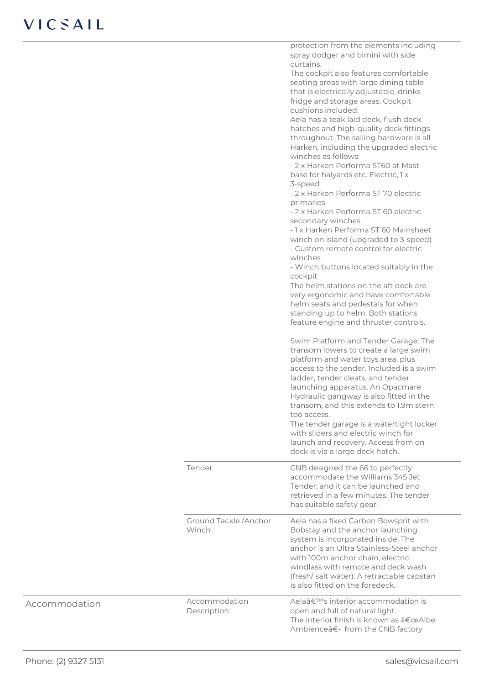|                                 | protection from the elements including<br>spray dodger and bimini with side<br>curtains.<br>The cockpit also features comfortable<br>seating areas with large dining table<br>that is electrically adjustable, drinks<br>fridge and storage areas. Cockpit<br>cushions included.<br>Aela has a teak laid deck, flush deck<br>hatches and high-quality deck fittings<br>throughout. The sailing hardware is all<br>Harken, including the upgraded electric<br>winches as follows:<br>- 2 x Harken Performa ST60 at Mast<br>base for halyards etc. Electric, 1 x<br>3-speed<br>- 2 x Harken Performa ST 70 electric<br>primaries<br>- 2 x Harken Performa ST 60 electric<br>secondary winches<br>- 1 x Harken Performa ST 60 Mainsheet<br>winch on island (upgraded to 3-speed)<br>- Custom remote control for electric<br>winches<br>- Winch buttons located suitably in the<br>cockpit<br>The helm stations on the aft deck are<br>very ergonomic and have comfortable<br>helm seats and pedestals for when<br>standing up to helm. Both stations<br>feature engine and thruster controls.<br>Swim Platform and Tender Garage: The<br>transom lowers to create a large swim |
|---------------------------------|-----------------------------------------------------------------------------------------------------------------------------------------------------------------------------------------------------------------------------------------------------------------------------------------------------------------------------------------------------------------------------------------------------------------------------------------------------------------------------------------------------------------------------------------------------------------------------------------------------------------------------------------------------------------------------------------------------------------------------------------------------------------------------------------------------------------------------------------------------------------------------------------------------------------------------------------------------------------------------------------------------------------------------------------------------------------------------------------------------------------------------------------------------------------------------|
|                                 | platform and water toys area, plus<br>access to the tender. Included is a swim<br>ladder, tender cleats, and tender<br>launching apparatus. An Opacmare<br>Hydraulic gangway is also fitted in the<br>transom, and this extends to 1.9m stern<br>too access.<br>The tender garage is a watertight locker<br>with sliders and electric winch for<br>launch and recovery. Access from on<br>deck is via a large deck hatch.                                                                                                                                                                                                                                                                                                                                                                                                                                                                                                                                                                                                                                                                                                                                                   |
| Tender                          | CNB designed the 66 to perfectly<br>accommodate the Williams 345 Jet<br>Tender, and it can be launched and<br>retrieved in a few minutes. The tender<br>has suitable safety gear.                                                                                                                                                                                                                                                                                                                                                                                                                                                                                                                                                                                                                                                                                                                                                                                                                                                                                                                                                                                           |
| Ground Tackle / Anchor<br>Winch | Aela has a fixed Carbon Bowsprit with<br>Bobstay and the anchor launching<br>system is incorporated inside. The<br>anchor is an Ultra Stainless-Steel anchor<br>with 100m anchor chain, electric<br>windlass with remote and deck wash<br>(fresh/salt water). A retractable capstan<br>is also fitted on the foredeck.                                                                                                                                                                                                                                                                                                                                                                                                                                                                                                                                                                                                                                                                                                                                                                                                                                                      |
| Accommodation<br>Description    | Aela's interior accommodation is<br>open and full of natural light.<br>The interior finish is known as "Albe<br>Ambience†from the CNB factory                                                                                                                                                                                                                                                                                                                                                                                                                                                                                                                                                                                                                                                                                                                                                                                                                                                                                                                                                                                                                               |

Accommodation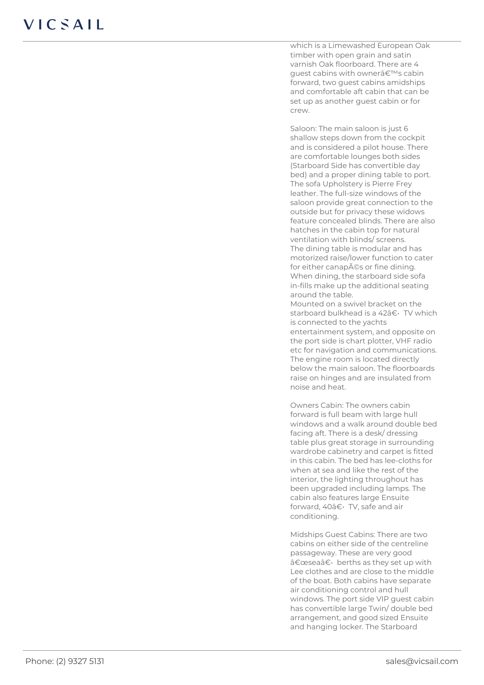which is a Limewashed European Oak timber with open grain and satin varnish Oak floorboard. There are 4 quest cabins with owner's cabin forward, two guest cabins amidships and comfortable aft cabin that can be set up as another guest cabin or for crew.

Saloon: The main saloon is just 6 shallow steps down from the cockpit and is considered a pilot house. There are comfortable lounges both sides (Starboard Side has convertible day bed) and a proper dining table to port. The sofa Upholstery is Pierre Frey leather. The full-size windows of the saloon provide great connection to the outside but for privacy these widows feature concealed blinds. There are also hatches in the cabin top for natural ventilation with blinds/ screens. The dining table is modular and has motorized raise/lower function to cater for either canapés or fine dining. When dining, the starboard side sofa in-fills make up the additional seating around the table. Mounted on a swivel bracket on the

starboard bulkhead is a 42†· TV which is connected to the yachts entertainment system, and opposite on the port side is chart plotter, VHF radio etc for navigation and communications. The engine room is located directly below the main saloon. The floorboards raise on hinges and are insulated from noise and heat.

Owners Cabin: The owners cabin forward is full beam with large hull windows and a walk around double bed facing aft. There is a desk/ dressing table plus great storage in surrounding wardrobe cabinetry and carpet is fitted in this cabin. The bed has lee-cloths for when at sea and like the rest of the interior, the lighting throughout has been upgraded including lamps. The cabin also features large Ensuite forward, 40†· TV, safe and air conditioning.

Midships Guest Cabins: There are two cabins on either side of the centreline passageway. These are very good  $\hat{a} \in \text{cese} \, a \in \text{c}$  berths as they set up with Lee clothes and are close to the middle of the boat. Both cabins have separate air conditioning control and hull windows. The port side VIP guest cabin has convertible large Twin/ double bed arrangement, and good sized Ensuite and hanging locker. The Starboard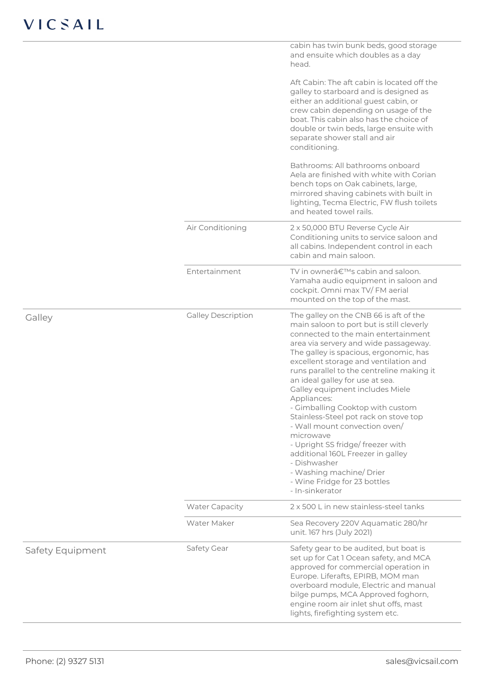|                  |                           | cabin has twin bunk beds, good storage<br>and ensuite which doubles as a day<br>head.                                                                                                                                                                                                                                                                                                                                                                                                                                                                                                                                                                                                       |
|------------------|---------------------------|---------------------------------------------------------------------------------------------------------------------------------------------------------------------------------------------------------------------------------------------------------------------------------------------------------------------------------------------------------------------------------------------------------------------------------------------------------------------------------------------------------------------------------------------------------------------------------------------------------------------------------------------------------------------------------------------|
|                  |                           | Aft Cabin: The aft cabin is located off the<br>galley to starboard and is designed as<br>either an additional guest cabin, or<br>crew cabin depending on usage of the<br>boat. This cabin also has the choice of<br>double or twin beds, large ensuite with<br>separate shower stall and air<br>conditioning.                                                                                                                                                                                                                                                                                                                                                                               |
|                  |                           | Bathrooms: All bathrooms onboard<br>Aela are finished with white with Corian<br>bench tops on Oak cabinets, large,<br>mirrored shaving cabinets with built in<br>lighting, Tecma Electric, FW flush toilets<br>and heated towel rails.                                                                                                                                                                                                                                                                                                                                                                                                                                                      |
|                  | Air Conditioning          | 2 x 50,000 BTU Reverse Cycle Air<br>Conditioning units to service saloon and<br>all cabins. Independent control in each<br>cabin and main saloon.                                                                                                                                                                                                                                                                                                                                                                                                                                                                                                                                           |
|                  | Entertainment             | TV in owner's cabin and saloon.<br>Yamaha audio equipment in saloon and<br>cockpit. Omni max TV/FM aerial<br>mounted on the top of the mast.                                                                                                                                                                                                                                                                                                                                                                                                                                                                                                                                                |
| Galley           | <b>Galley Description</b> | The galley on the CNB 66 is aft of the<br>main saloon to port but is still cleverly<br>connected to the main entertainment<br>area via servery and wide passageway.<br>The galley is spacious, ergonomic, has<br>excellent storage and ventilation and<br>runs parallel to the centreline making it<br>an ideal galley for use at sea.<br>Galley equipment includes Miele<br>Appliances:<br>- Gimballing Cooktop with custom<br>Stainless-Steel pot rack on stove top<br>- Wall mount convection oven/<br>microwave<br>- Upright SS fridge/ freezer with<br>additional 160L Freezer in galley<br>- Dishwasher<br>- Washing machine/Drier<br>- Wine Fridge for 23 bottles<br>- In-sinkerator |
|                  | <b>Water Capacity</b>     | 2 x 500 L in new stainless-steel tanks                                                                                                                                                                                                                                                                                                                                                                                                                                                                                                                                                                                                                                                      |
|                  | Water Maker               | Sea Recovery 220V Aquamatic 280/hr<br>unit. 167 hrs (July 2021)                                                                                                                                                                                                                                                                                                                                                                                                                                                                                                                                                                                                                             |
| Safety Equipment | Safety Gear               | Safety gear to be audited, but boat is<br>set up for Cat 1 Ocean safety, and MCA<br>approved for commercial operation in<br>Europe. Liferafts, EPIRB, MOM man<br>overboard module, Electric and manual<br>bilge pumps, MCA Approved foghorn,<br>engine room air inlet shut offs, mast<br>lights, firefighting system etc.                                                                                                                                                                                                                                                                                                                                                                   |